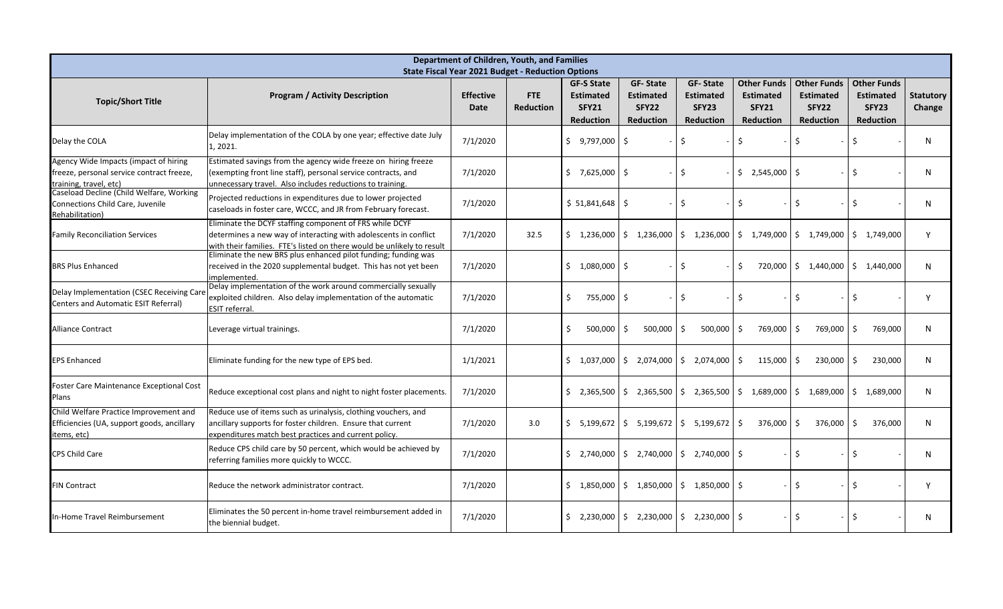| Department of Children, Youth, and Families<br><b>State Fiscal Year 2021 Budget - Reduction Options</b>      |                                                                                                                                                                                                       |                                 |                         |                                                                           |                                                                  |                                                                  |                                                                            |                                                                            |                                                                     |                            |
|--------------------------------------------------------------------------------------------------------------|-------------------------------------------------------------------------------------------------------------------------------------------------------------------------------------------------------|---------------------------------|-------------------------|---------------------------------------------------------------------------|------------------------------------------------------------------|------------------------------------------------------------------|----------------------------------------------------------------------------|----------------------------------------------------------------------------|---------------------------------------------------------------------|----------------------------|
| <b>Topic/Short Title</b>                                                                                     | <b>Program / Activity Description</b>                                                                                                                                                                 | <b>Effective</b><br><b>Date</b> | FTE<br><b>Reduction</b> | <b>GF-S State</b><br><b>Estimated</b><br><b>SFY21</b><br><b>Reduction</b> | <b>GF-State</b><br><b>Estimated</b><br>SFY22<br><b>Reduction</b> | <b>GF-State</b><br><b>Estimated</b><br>SFY23<br><b>Reduction</b> | <b>Other Funds</b><br><b>Estimated</b><br><b>SFY21</b><br><b>Reduction</b> | <b>Other Funds</b><br><b>Estimated</b><br><b>SFY22</b><br><b>Reduction</b> | <b>Other Funds</b><br><b>Estimated</b><br>SFY23<br><b>Reduction</b> | <b>Statutory</b><br>Change |
| Delay the COLA                                                                                               | Delay implementation of the COLA by one year; effective date July<br>L, 2021.                                                                                                                         | 7/1/2020                        |                         | $$9,797,000$ \$                                                           |                                                                  | \$                                                               | <sup>5</sup>                                                               | \$                                                                         | \$                                                                  | N                          |
| Agency Wide Impacts (impact of hiring<br>freeze, personal service contract freeze,<br>training, travel, etc) | Estimated savings from the agency wide freeze on hiring freeze<br>(exempting front line staff), personal service contracts, and<br>unnecessary travel. Also includes reductions to training.          | 7/1/2020                        |                         | \$7,625,000                                                               | l S                                                              | Ś.                                                               | \$2,545,000                                                                | 5                                                                          | $\ddot{\varsigma}$                                                  | $\mathsf{N}$               |
| Caseload Decline (Child Welfare, Working<br>Connections Child Care, Juvenile<br>Rehabilitation)              | Projected reductions in expenditures due to lower projected<br>caseloads in foster care, WCCC, and JR from February forecast.                                                                         | 7/1/2020                        |                         | \$51,841,648                                                              | l S                                                              | \$                                                               | S.                                                                         | \$                                                                         | \$                                                                  | N                          |
| <b>Family Reconciliation Services</b>                                                                        | Eliminate the DCYF staffing component of FRS while DCYF<br>determines a new way of interacting with adolescents in conflict<br>with their families. FTE's listed on there would be unlikely to result | 7/1/2020                        | 32.5                    | \$1,236,000                                                               | \$1,236,000                                                      | $$1,236,000$ \$                                                  | 1,749,000                                                                  | \$1,749,000                                                                | \$1,749,000                                                         | Y                          |
| <b>BRS Plus Enhanced</b>                                                                                     | Eliminate the new BRS plus enhanced pilot funding; funding was<br>received in the 2020 supplemental budget. This has not yet been<br>implemented.                                                     | 7/1/2020                        |                         | \$1,080,000                                                               | ⋅\$                                                              | \$                                                               | 720,000<br>-Ŝ                                                              | \$1,440,000                                                                | \$1,440,000                                                         | N                          |
| Delay Implementation (CSEC Receiving Care<br>Centers and Automatic ESIT Referral)                            | Delay implementation of the work around commercially sexually<br>exploited children. Also delay implementation of the automatic<br><b>ESIT</b> referral                                               | 7/1/2020                        |                         | 755,000<br>Ŝ.                                                             | ۱s                                                               | Ŝ.                                                               | Ŝ.                                                                         | \$                                                                         | -\$                                                                 | Υ                          |
| <b>Alliance Contract</b>                                                                                     | Leverage virtual trainings.                                                                                                                                                                           | 7/1/2020                        |                         | 500,000<br>\$                                                             | 500,000                                                          | \$<br>$500,000$ $\frac{1}{5}$                                    | 769,000                                                                    | \$<br>769,000                                                              | 769,000<br>-S                                                       | N                          |
| <b>EPS Enhanced</b>                                                                                          | Eliminate funding for the new type of EPS bed.                                                                                                                                                        | 1/1/2021                        |                         | \$1,037,000                                                               | 5<br>2,074,000                                                   | \$<br>$2,074,000$   \$                                           | 115,000                                                                    | \$<br>230,000                                                              | - Ś<br>230,000                                                      | N                          |
| <b>Foster Care Maintenance Exceptional Cost</b><br>Plans                                                     | Reduce exceptional cost plans and night to night foster placements.                                                                                                                                   | 7/1/2020                        |                         | \$2,365,500                                                               | $\frac{1}{2}$ , 2,365,500                                        |                                                                  | $\frac{1}{2}$ , 2,365,500 $\frac{1}{2}$ ,689,000                           | \$1,689,000                                                                | $\mathsf{S}$<br>1,689,000                                           | N                          |
| Child Welfare Practice Improvement and<br>Efficiencies (UA, support goods, ancillary<br>items, etc)          | Reduce use of items such as urinalysis, clothing vouchers, and<br>ancillary supports for foster children. Ensure that current<br>expenditures match best practices and current policy.                | 7/1/2020                        | 3.0                     |                                                                           | $\frac{1}{5}$ 5,199,672   \$ 5,199,672   \$ 5,199,672   \$       |                                                                  | $376,000$ \$                                                               | 376,000                                                                    | 376,000<br>-\$                                                      | N                          |
| <b>CPS Child Care</b>                                                                                        | Reduce CPS child care by 50 percent, which would be achieved by<br>referring families more quickly to WCCC.                                                                                           | 7/1/2020                        |                         | \$2,740,000                                                               |                                                                  | $\frac{1}{2}$ ,740,000 $\frac{1}{2}$ ,740,000 $\frac{1}{2}$      |                                                                            | \$                                                                         | \$                                                                  | $\mathsf{N}$               |
| <b>FIN Contract</b>                                                                                          | Reduce the network administrator contract.                                                                                                                                                            | 7/1/2020                        |                         | \$1,850,000                                                               | \$1,850,000                                                      | $$1,850,000$ \$                                                  |                                                                            | \$                                                                         | -\$                                                                 |                            |
| In-Home Travel Reimbursement                                                                                 | Eliminates the 50 percent in-home travel reimbursement added in<br>the biennial budget.                                                                                                               | 7/1/2020                        |                         | \$2,230,000                                                               | $\frac{1}{2}$ , 2,230,000                                        | $$2,230,000$ \$                                                  |                                                                            | \$                                                                         | -\$                                                                 | N                          |